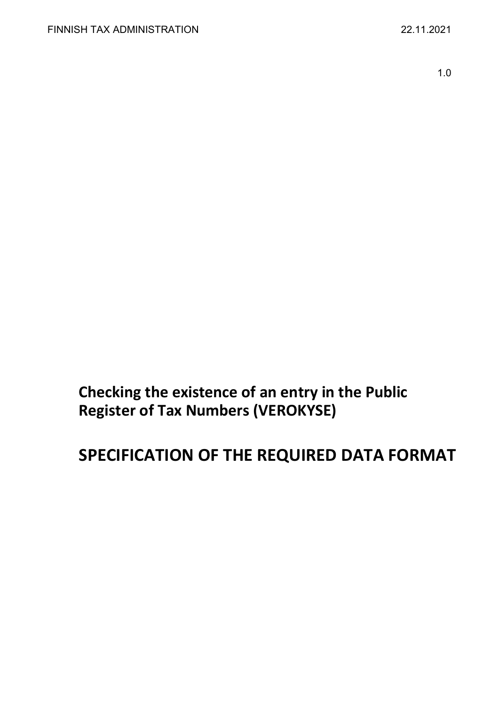1.0

**Checking the existence of an entry in the Public Register of Tax Numbers (VEROKYSE)**

# **SPECIFICATION OF THE REQUIRED DATA FORMAT**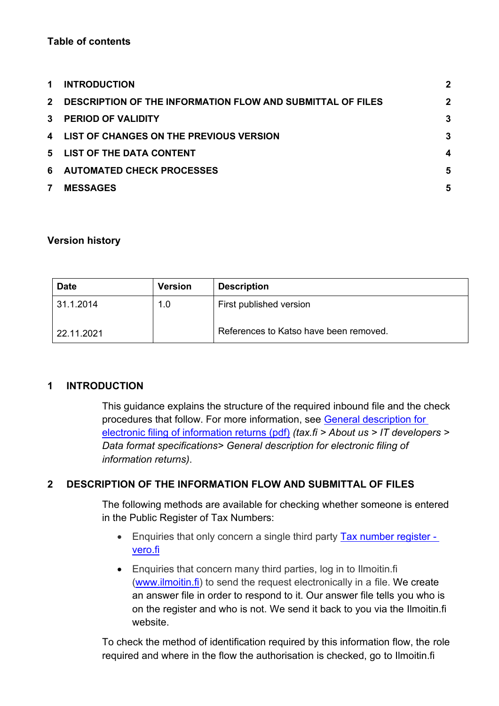## **Table of contents**

| $\mathbf 1$  | <b>INTRODUCTION</b>                                        | $\mathbf{2}$ |
|--------------|------------------------------------------------------------|--------------|
| $2^{\circ}$  | DESCRIPTION OF THE INFORMATION FLOW AND SUBMITTAL OF FILES | $\mathbf 2$  |
| $\mathbf{3}$ | <b>PERIOD OF VALIDITY</b>                                  | 3            |
|              | 4 LIST OF CHANGES ON THE PREVIOUS VERSION                  | 3            |
|              | 5 LIST OF THE DATA CONTENT                                 | 4            |
| 6            | <b>AUTOMATED CHECK PROCESSES</b>                           | 5            |
| 7            | <b>MESSAGES</b>                                            | 5            |

#### **Version history**

| <b>Date</b> | <b>Version</b> | <b>Description</b>                     |
|-------------|----------------|----------------------------------------|
| 31.1.2014   | 1.0            | First published version                |
| 22.11.2021  |                | References to Katso have been removed. |

## <span id="page-1-0"></span>**1 INTRODUCTION**

This guidance explains the structure of the required inbound file and the check procedures that follow. For more information, see [General description for](https://www.vero.fi/globalassets/tietoa-verohallinnosta/ohjelmistokehittajille/finnish-tax-administration_electronic-filing-of-information-returns-general-description.pdf)  [electronic filing of information returns \(pdf\)](https://www.vero.fi/globalassets/tietoa-verohallinnosta/ohjelmistokehittajille/finnish-tax-administration_electronic-filing-of-information-returns-general-description.pdf) *(tax.fi > About us > IT developers > Data format specifications> General description for electronic filing of information returns)*.

## <span id="page-1-1"></span>**2 DESCRIPTION OF THE INFORMATION FLOW AND SUBMITTAL OF FILES**

The following methods are available for checking whether someone is entered in the Public Register of Tax Numbers:

- Enquiries that only concern a single third party [Tax number register](https://www.vero.fi/en/individuals/tax-cards-and-tax-returns/arriving_in_finland/work_in_finland/working-in-construction/Tax_number/)  [vero.fi](https://www.vero.fi/en/individuals/tax-cards-and-tax-returns/arriving_in_finland/work_in_finland/working-in-construction/Tax_number/)
- Enquiries that concern many third parties, log in to Ilmoitin.fi [\(www.ilmoitin.fi\)](https://www.ilmoitin.fi/webtamo/sivut/Esittelysivu?kieli=en) to send the request electronically in a file. We create an answer file in order to respond to it. Our answer file tells you who is on the register and who is not. We send it back to you via the Ilmoitin.fi website.

To check the method of identification required by this information flow, the role required and where in the flow the authorisation is checked, go to Ilmoitin.fi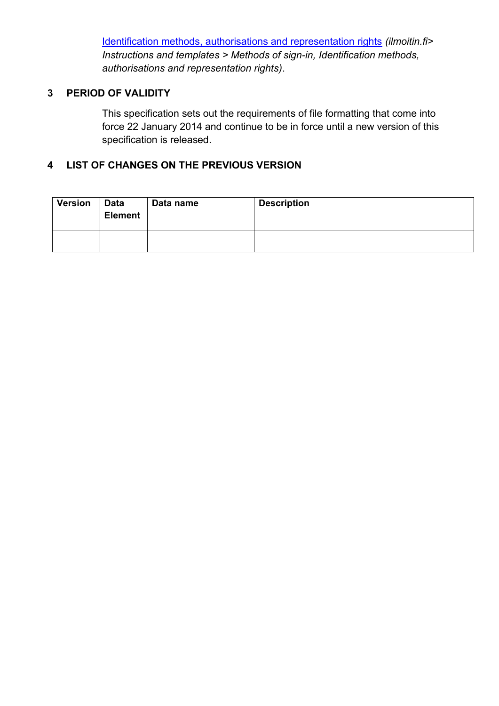[Identification methods, authorisations and representation rights](https://www.ilmoitin.fi/webtamo/sivut/IlmoituslajiRoolit?kieli=en&tv=VEROKYSE) *(ilmoitin.fi> Instructions and templates > Methods of sign-in, Identification methods, authorisations and representation rights)*.

## <span id="page-2-0"></span>**3 PERIOD OF VALIDITY**

This specification sets out the requirements of file formatting that come into force 22 January 2014 and continue to be in force until a new version of this specification is released.

## <span id="page-2-1"></span>**4 LIST OF CHANGES ON THE PREVIOUS VERSION**

| <b>Version</b> | <b>Data</b><br><b>Element</b> | Data name | <b>Description</b> |
|----------------|-------------------------------|-----------|--------------------|
|                |                               |           |                    |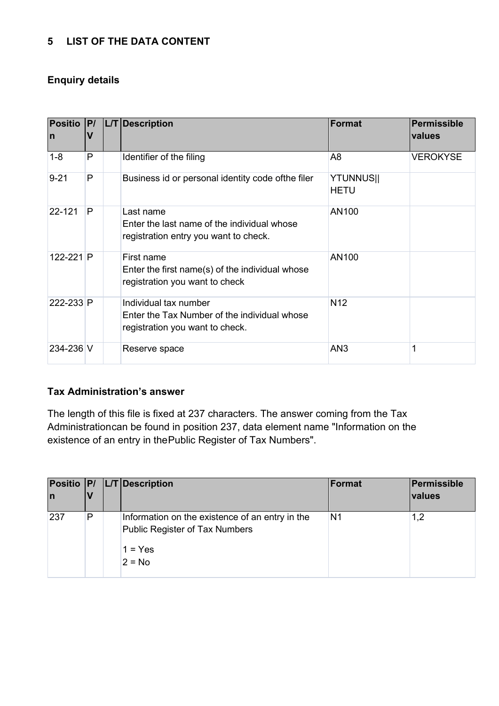## <span id="page-3-0"></span>**5 LIST OF THE DATA CONTENT**

## **Enquiry details**

| <b>Positio</b><br>$\mathsf{n}$ | P <br>$\mathbf v$ | L/T Description                                                                                          | Format                          | Permissible<br>values |
|--------------------------------|-------------------|----------------------------------------------------------------------------------------------------------|---------------------------------|-----------------------|
| $1 - 8$                        | P                 | Identifier of the filing                                                                                 | A8                              | <b>VEROKYSE</b>       |
| $9 - 21$                       | P                 | Business id or personal identity code ofthe filer                                                        | <b>YTUNNUS  </b><br><b>HETU</b> |                       |
| 22-121                         | P                 | Last name<br>Enter the last name of the individual whose<br>registration entry you want to check.        | AN100                           |                       |
| $122 - 221$ P                  |                   | First name<br>Enter the first name(s) of the individual whose<br>registration you want to check          | AN100                           |                       |
| 222-233 P                      |                   | Individual tax number<br>Enter the Tax Number of the individual whose<br>registration you want to check. | N <sub>12</sub>                 |                       |
| 234-236 V                      |                   | Reserve space                                                                                            | AN3                             |                       |

## **Tax Administration's answer**

The length of this file is fixed at 237 characters. The answer coming from the Tax Administrationcan be found in position 237, data element name "Information on the existence of an entry in thePublic Register of Tax Numbers".

| In  |   | Positio   P/   L/T   Description                                                                           | Format         | Permissible<br><b>values</b> |
|-----|---|------------------------------------------------------------------------------------------------------------|----------------|------------------------------|
| 237 | P | Information on the existence of an entry in the<br>Public Register of Tax Numbers<br>$1 = Yes$<br>$2 = No$ | N <sub>1</sub> | 1,2                          |